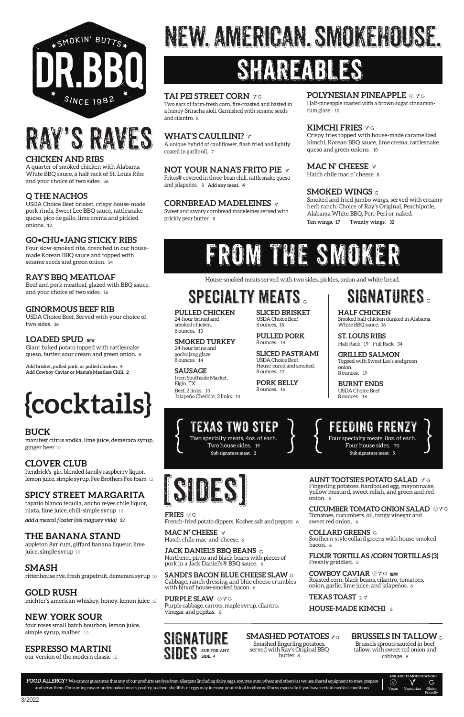#### **PULLED CHICKEN**

24-hour brined and smoked chicken. 8 ounces. 13

#### **SMOKED TURKEY**

24-hour brine and gochujang glaze. 8 ounces. 14

**SAUSAGE** from Southside Market, Elgin, TX Beef, 2 links. 13 Jalapeño Cheddar, 2 links. 13

**SLICED BRISKET** USDA Choice Beef 8 ounces. 18

**PULLED PORK** 8 ounces. 14

**SLICED PASTRAMI** USDA Choice Beef House-cured and smoked. 8 ounces. 17

**PORK BELLY** 8 ounces. 16

Two specialty meats, 4oz. of each. Two house sides. 19 **Sub signature meat. 2**

TEXAS TWO STEP

#### **CHICKEN AND RIBS**

A quarter of smoked chicken with Alabama White BBQ sauce, a half rack of St. Louis Ribs and your choice of two sides. 26

#### **Q THE NACHOS**

USDA Choice Beef brisket, crispy house-made pork rinds, Sweet Lee BBQ sauce, rattlesnake queso, pico de gallo, lime crema and pickled onions. 12

#### **GO•CHU•JANG STICKY RIBS**

Four slow-smoked ribs, drenched in our housemade Korean BBQ sauce and topped with sesame seeds and green onion. 14

#### **RAY'S BBQ MEATLOAF**

Beef and pork meatloaf, glazed with BBQ sauce, and your choice of two sides. 16

#### **GINORMOUS BEEF RIB**

USDA Choice Beef. Served with your choice of two sides. 36

#### **LOADED SPUD** NEW!

Giant baked potato topped with rattlesnake queso, butter, sour cream and green onion. 8

**Add brisket, pulled pork, or pulled chicken. 4 Add Cowboy Caviar or Mama's Meatless Chili. 2**

appleton 8yr rum, giffard banana liqueur, lime juice, simple syrup 10

#### **TAI PEI STREET CORN**

Two ears of farm-fresh corn, fire-roasted and basted in a honey-Sriracha aioli. Garnished with sesame seeds and cilantro. 8

#### **WHAT'S CAULILINI?** v

four roses small batch bourbon, lemon juice, simple syrup, malbec 10

A unique hybrid of cauliflower, flash fried and lightly coated in garlic oil. 7

**SIGNATURE** SIDES SUB FOR ANY **SIDE. 4**

**SMASHED POTATOES YG** 

#### **NOT YOUR NANA'S FRITO PIE**

Fritos® covered in three-bean chili, rattlesnake queso and jalapeños. 8 **Add any meat. 4** 

#### **CORNBREAD MADELEINES**

**MAC N' CHEESE**  $\forall$ Hatch chile mac-and-cheese. 6

Sweet and savory cornbread madeleines served with prickly pear butter. 8

#### **POLYNESIAN PINEAPPLE**  $\otimes$   $\vee$  G

Half-pineapple roasted with a brown sugar cinnamonrum glaze. 10

#### **KIMCHI FRIES**

Crispy fries topped with house-made caramelized kimchi, Korean BBQ sauce, lime crema, rattlesnake queso and green onions. 10

**AUNT TOOTSIE'S POTATO SALAD**  $\vee$  G<br>Fingerling potatoes, hardboiled egg, mayonnaise,<br>yellow mustard, sweet relish, and green and red<br>onion. 6 yellow mustard, sweet relish, and green and red onion. 6

> **CUCUMBER TOMATO ONION SALAD**  $\otimes$ YG Tomatoes, cucumbers, oil, tangy vinegar and sweet red onion. 6

#### **MAC N' CHEESE**

Hatch chile mac n' cheese. 8

#### **SMOKED WINGS**

Smoked and fried jumbo wings, served with creamy herb ranch. Choice of Ray's Original, Peachipotle, Alabama White BBQ, Peri-Peri or naked. **Ten wings. 17 Twenty wings. 32**



## RAY'S RAVES

# NEW. AMERICAN. SMOKEHOUSE.

### SHAREADLES

**HALF CHICKEN** Smoked half chicken dunked in Alabama White BBQ sauce. 16

**ST. LOUIS RIBS** Half Rack 19 Full Rack 34

**GRILLED SALMON** Topped with Sweet Lee's and green onion. 8 ounces. 19

**BURNT ENDS** USDA Choice Beef 8 ounces. 18



House-smoked meats served with two sides, pickles, onion and white bread.

### SPECIALTY MEATS SIGNATURES.

#### **BUCK**

manifest citrus vodka, lime juice, demerara syrup, ginger beer 10

#### **CLOVER CLUB**

hendrick's gin, blended family raspberry liquor, lemon juice, simple syrup, Fee Brothers Fee foam 12

#### **SPICY STREET MARGARITA**

tapatio blanco tequila, ancho reyes chile liquor, nixta, lime juice, chili-simple syrup 12 *add a mezcal floater (del maguey vida) \$2*

#### **THE BANANA STAND**

#### **SMASH**

rittenhouse rye, fresh grapefruit, demerara syrup 10

#### **GOLD RUSH**

michter's american whiskey, honey, lemon juice 12

### **NEW YORK SOUR**

#### **ESPRESSO MARTINI**

our version of the modern classic 12

# **{cocktails}**



### FROM THE SMOKER

#### **BRUSSELS IN TALLOW**

Brussels sprouts sautéed in beef tallow, with sweet red onion and cabbage. 8

Smashed fingerling potatoes, served with Ray's Original BBQ butter. 8

#### **FRIES**

French-fried potato dippers, Kosher salt and pepper. 6

#### **JACK DANIEL'S BBQ BEANS**

Northern, pinto and black beans with pieces of pork in a Jack Daniel's® BBQ sauce. 6

#### **SANDI'S BACON BLUE CHEESE SLAW** Cabbage, ranch dressing and blue cheese crumbles with bits of house-smoked bacon. 6

#### **PURPLE SLAW**  $\otimes$ YG

Purple cabbage, carrots, maple syrup, cilantro, vinegar and pepitas. 6

#### **COLLARD GREENS**

Southern-style collard greens with house-smoked bacon. 6

**FLOUR TORTILLAS /CORN TORTILLAS (3)** Freshly griddled. 2

#### **COWBOY CAVIAR**  $\mathbb{Q}$  y g new!

Roasted corn, black beans, cilantro, tomatoes, onion, garlic, lime juice, and jalapeños. 6

**TEXAS TOAST** 2  $\gamma$ 

**HOUSE-MADE KIMCHI** 6